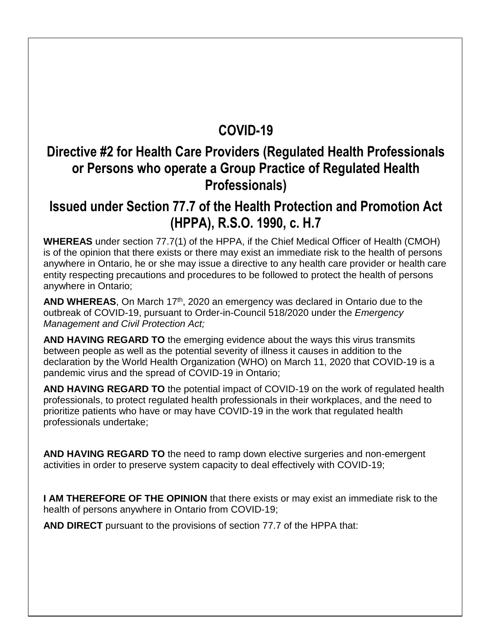## **COVID-19**

#### **Directive #2 for Health Care Providers (Regulated Health Professionals or Persons who operate a Group Practice of Regulated Health Professionals)**

#### **Issued under Section 77.7 of the Health Protection and Promotion Act (HPPA), R.S.O. 1990, c. H.7**

**WHEREAS** under section 77.7(1) of the HPPA, if the Chief Medical Officer of Health (CMOH) is of the opinion that there exists or there may exist an immediate risk to the health of persons anywhere in Ontario, he or she may issue a directive to any health care provider or health care entity respecting precautions and procedures to be followed to protect the health of persons anywhere in Ontario;

AND WHEREAS, On March 17<sup>th</sup>, 2020 an emergency was declared in Ontario due to the outbreak of COVID-19, pursuant to Order-in-Council 518/2020 under the *Emergency Management and Civil Protection Act;*

**AND HAVING REGARD TO** the emerging evidence about the ways this virus transmits between people as well as the potential severity of illness it causes in addition to the declaration by the World Health Organization (WHO) on March 11, 2020 that COVID-19 is a pandemic virus and the spread of COVID-19 in Ontario;

**AND HAVING REGARD TO** the potential impact of COVID-19 on the work of regulated health professionals, to protect regulated health professionals in their workplaces, and the need to prioritize patients who have or may have COVID-19 in the work that regulated health professionals undertake;

**AND HAVING REGARD TO** the need to ramp down elective surgeries and non-emergent activities in order to preserve system capacity to deal effectively with COVID-19;

**I AM THEREFORE OF THE OPINION** that there exists or may exist an immediate risk to the health of persons anywhere in Ontario from COVID-19;

**AND DIRECT** pursuant to the provisions of section 77.7 of the HPPA that: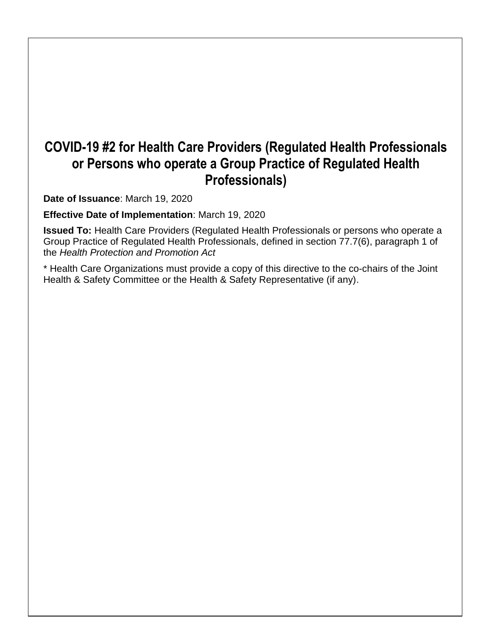## **COVID-19 #2 for Health Care Providers (Regulated Health Professionals or Persons who operate a Group Practice of Regulated Health Professionals)**

**Date of Issuance**: March 19, 2020

**Effective Date of Implementation**: March 19, 2020

**Issued To:** Health Care Providers (Regulated Health Professionals or persons who operate a Group Practice of Regulated Health Professionals, defined in section 77.7(6), paragraph 1 of the *Health Protection and Promotion Act*

\* Health Care Organizations must provide a copy of this directive to the co-chairs of the Joint Health & Safety Committee or the Health & Safety Representative (if any).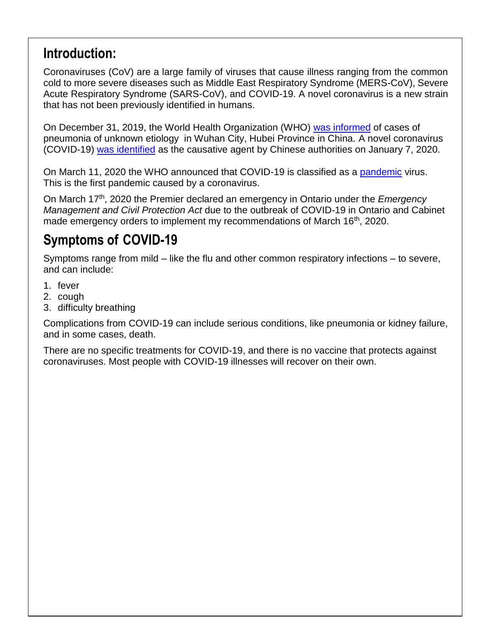## **Introduction:**

Coronaviruses (CoV) are a large family of viruses that cause illness ranging from the common cold to more severe diseases such as Middle East Respiratory Syndrome (MERS-CoV), Severe Acute Respiratory Syndrome (SARS-CoV), and COVID-19. A novel coronavirus is a new strain that has not been previously identified in humans.

On December 31, 2019, the World Health Organization (WHO) [was informed](https://www.who.int/csr/don/05-january-2020-pneumonia-of-unkown-cause-china/en/) of cases of pneumonia of unknown etiology in Wuhan City, Hubei Province in China. A novel coronavirus (COVID-19) [was identified](https://www.who.int/csr/don/12-january-2020-novel-coronavirus-china/en/) as the causative agent by Chinese authorities on January 7, 2020.

On March 11, 2020 the WHO announced that COVID-19 is classified as a [pandemic](https://www.who.int/dg/speeches/detail/who-director-general-s-opening-remarks-at-the-media-briefing-on-covid-19---11-march-2020) virus. This is the first pandemic caused by a coronavirus.

On March 17th, 2020 the Premier declared an emergency in Ontario under the *Emergency Management and Civil Protection Act* due to the outbreak of COVID-19 in Ontario and Cabinet made emergency orders to implement my recommendations of March 16<sup>th</sup>, 2020.

# **Symptoms of COVID-19**

Symptoms range from mild – like the flu and other common respiratory infections – to severe, and can include:

- 1. fever
- 2. cough
- 3. difficulty breathing

Complications from COVID-19 can include serious conditions, like pneumonia or kidney failure, and in some cases, death.

There are no specific treatments for COVID-19, and there is no vaccine that protects against coronaviruses. Most people with COVID-19 illnesses will recover on their own.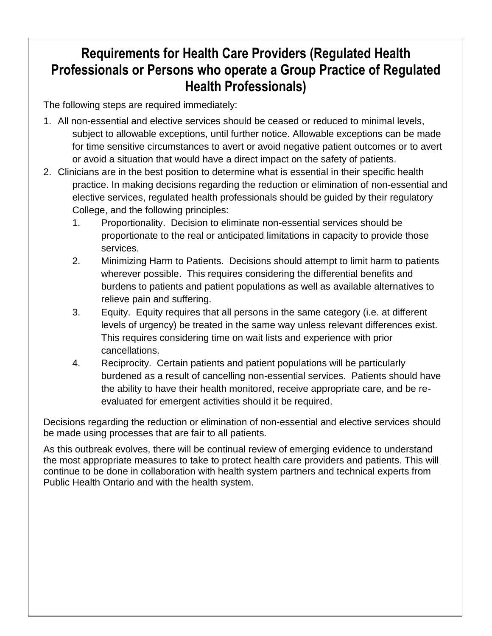# **Requirements for Health Care Providers (Regulated Health Professionals or Persons who operate a Group Practice of Regulated Health Professionals)**

The following steps are required immediately:

- 1. All non-essential and elective services should be ceased or reduced to minimal levels, subject to allowable exceptions, until further notice. Allowable exceptions can be made for time sensitive circumstances to avert or avoid negative patient outcomes or to avert or avoid a situation that would have a direct impact on the safety of patients.
- 2. Clinicians are in the best position to determine what is essential in their specific health practice. In making decisions regarding the reduction or elimination of non-essential and elective services, regulated health professionals should be guided by their regulatory College, and the following principles:
	- 1. Proportionality. Decision to eliminate non-essential services should be proportionate to the real or anticipated limitations in capacity to provide those services.
	- 2. Minimizing Harm to Patients. Decisions should attempt to limit harm to patients wherever possible. This requires considering the differential benefits and burdens to patients and patient populations as well as available alternatives to relieve pain and suffering.
	- 3. Equity. Equity requires that all persons in the same category (i.e. at different levels of urgency) be treated in the same way unless relevant differences exist. This requires considering time on wait lists and experience with prior cancellations.
	- 4. Reciprocity. Certain patients and patient populations will be particularly burdened as a result of cancelling non-essential services. Patients should have the ability to have their health monitored, receive appropriate care, and be reevaluated for emergent activities should it be required.

Decisions regarding the reduction or elimination of non-essential and elective services should be made using processes that are fair to all patients.

As this outbreak evolves, there will be continual review of emerging evidence to understand the most appropriate measures to take to protect health care providers and patients. This will continue to be done in collaboration with health system partners and technical experts from Public Health Ontario and with the health system.